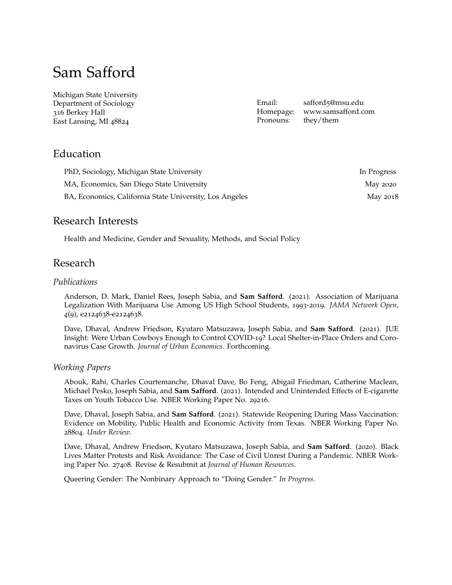# Sam Safford

Michigan State University Department of Sociology 316 Berkey Hall East Lansing, MI 48824

Email: safford5[@msu.edu](mailto:safford5@msu.edu) Pronouns: they/them

Homepage: [www.samsafford.com](http://www.samsafford.com)

# Education

| PhD, Sociology, Michigan State University               | In Progress |
|---------------------------------------------------------|-------------|
| MA, Economics, San Diego State University               | May 2020    |
| BA, Economics, California State University, Los Angeles | May 2018    |

### Research Interests

Health and Medicine, Gender and Sexuality, Methods, and Social Policy

# Research

#### *Publications*

Anderson, D. Mark, Daniel Rees, Joseph Sabia, and **Sam Safford**. (2021). Association of Marijuana Legalization With Marijuana Use Among US High School Students, 1993-2019. *JAMA Network Open, 4*(9), e2124638-e2124638.

Dave, Dhaval, Andrew Friedson, Kyutaro Matsuzawa, Joseph Sabia, and **Sam Safford**. (2021). JUE Insight: Were Urban Cowboys Enough to Control COVID-19? Local Shelter-in-Place Orders and Coronavirus Case Growth. *Journal of Urban Economics*. Forthcoming.

#### *Working Papers*

Abouk, Rahi, Charles Courtemanche, Dhaval Dave, Bo Feng, Abigail Friedman, Catherine Maclean, Michael Pesko, Joseph Sabia, and **Sam Safford**. (2021). Intended and Unintended Effects of E-cigarette Taxes on Youth Tobacco Use. [NBER Working Paper No.](https://www.nber.org/papers/w29216) 29216.

Dave, Dhaval, Joseph Sabia, and **Sam Safford**. (2021). Statewide Reopening During Mass Vaccination: Evidence on Mobility, Public Health and Economic Activity from Texas. [NBER Working Paper No.](https://www.nber.org/papers/w28804) [28804](https://www.nber.org/papers/w28804). *Under Review*.

Dave, Dhaval, Andrew Friedson, Kyutaro Matsuzawa, Joseph Sabia, and **Sam Safford**. (2020). Black Lives Matter Protests and Risk Avoidance: The Case of Civil Unrest During a Pandemic. [NBER Work](https://www.nber.org/papers/w27408)[ing Paper No.](https://www.nber.org/papers/w27408) 27408. Revise & Resubmit at *Journal of Human Resources*.

Queering Gender: The Nonbinary Approach to "Doing Gender." *In Progress*.